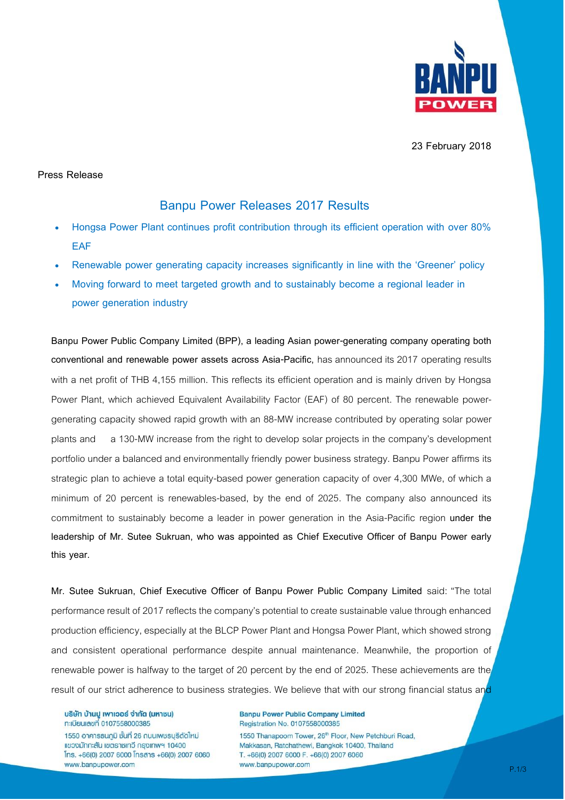

**23 February 2018**

## **Press Release**

# **Banpu Power Releases 2017 Results**

- **Hongsa Power Plant continues profit contribution through its efficient operation with over 80% EAF**
- **Renewable power generating capacity increases significantly in line with the 'Greener' policy**
- **Moving forward to meet targeted growth and to sustainably become a regional leader in power generation industry**

**Banpu Power Public Company Limited (BPP), a leading Asian power-generating company operating both conventional and renewable power assets across Asia-Pacific,** has announced its 2017 operating results with a net profit of THB 4,155 million. This reflects its efficient operation and is mainly driven by Hongsa Power Plant, which achieved Equivalent Availability Factor (EAF) of 80 percent. The renewable powergenerating capacity showed rapid growth with an 88-MW increase contributed by operating solar power plants and a 130-MW increase from the right to develop solar projects in the company's development portfolio under a balanced and environmentally friendly power business strategy. Banpu Power affirms its strategic plan to achieve a total equity-based power generation capacity of over 4,300 MWe, of which a minimum of 20 percent is renewables-based, by the end of 2025. The company also announced its commitment to sustainably become a leader in power generation in the Asia-Pacific region **under the leadership of Mr. Sutee Sukruan, who was appointed as Chief Executive Officer of Banpu Power early this year.**

**Mr. Sutee Sukruan, Chief Executive Officer of Banpu Power Public Company Limited** said: "The total performance result of 2017 reflects the company's potential to create sustainable value through enhanced production efficiency, especially at the BLCP Power Plant and Hongsa Power Plant, which showed strong and consistent operational performance despite annual maintenance. Meanwhile, the proportion of renewable power is halfway to the target of 20 percent by the end of 2025. These achievements are the result of our strict adherence to business strategies. We believe that with our strong financial status and

บริษัท บ้านปู เพาเวอร์ จำกัด (มหาชน) **ทะเบียนเลขที่ 0107558000385** 

1550 อาคาธธนภูมิ ชั้นที่ 26 ถนนเพชรบุรีตัดใหม่ แขวงมักกะสัน เขตราชเทวี กรุงเทพฯ 10400  $[$ ns. +66(0) 2007 6000  $[$ nsans +66(0) 2007 6060 www.banpupower.com

**Banpu Power Public Company Limited** Registration No. 0107558000385

1550 Thanapoom Tower, 26<sup>th</sup> Floor, New Petchburi Road, Makkasan, Ratchathewi, Bangkok 10400, Thailand T. +66(0) 2007 6000 F. +66(0) 2007 6060 www.banpupower.com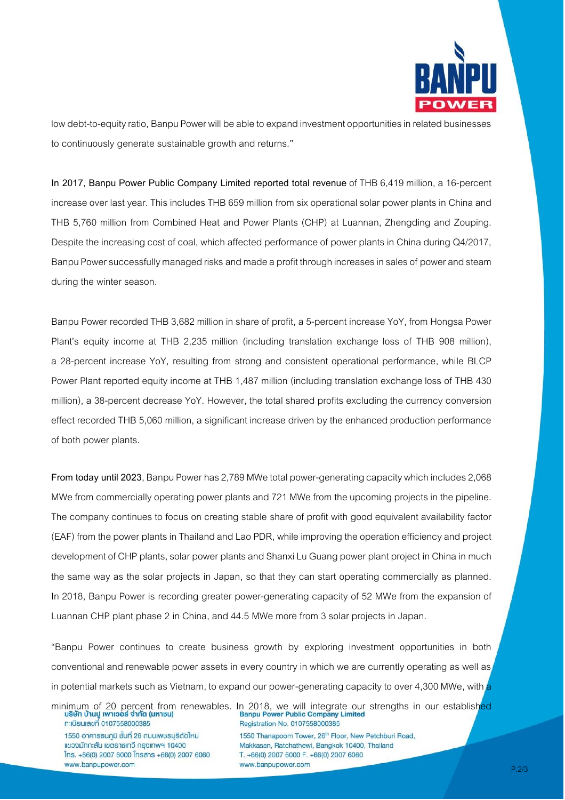

low debt-to-equity ratio, Banpu Power will be able to expand investment opportunities in related businesses to continuously generate sustainable growth and returns."

In 2017, Banpu Power Public Company Limited reported total revenue of THB 6,419 million, a 16-percent increase over last year. This includes THB 659 million from six operational solar power plants in China and THB 5,760 million from Combined Heat and Power Plants (CHP) at Luannan, Zhengding and Zouping. Despite the increasing cost of coal, which affected performance of power plants in China during Q4/2017, Banpu Power successfully managed risks and made a profit through increases in sales of powerand steam during the winter season.

Banpu Power recorded THB 3,682 million in share of profit, a 5-percent increase YoY, from Hongsa Power Plant's equity income at THB 2,235 million (including translation exchange loss of THB 908 million), a 28-percent increase YoY, resulting from strong and consistent operational performance, while BLCP Power Plant reported equity income at THB 1,487 million (including translation exchange loss of THB 430 million), a 38-percent decrease YoY. However, the total shared profits excluding the currency conversion effect recorded THB 5,060 million, a significant increase driven by the enhanced production performance of both power plants.

**From today until 2023**, Banpu Power has 2,789 MWe total power-generating capacity which includes 2,068 MWe from commercially operating power plants and 721 MWe from the upcoming projects in the pipeline. The company continues to focus on creating stable share of profit with good equivalent availability factor (EAF) from the power plants in Thailand and Lao PDR, while improving the operationefficiencyand project development of CHP plants, solar power plants and Shanxi Lu Guang power plant project in China in much the same way as the solar projects in Japan, so that they can start operating commercially as planned. In 2018, Banpu Power is recording greater power-generating capacity of 52 MWe from the expansion of Luannan CHP plant phase 2 in China, and 44.5 MWe more from 3 solar projects in Japan.

"Banpu Power continues to create business growth by exploring investment opportunities in both conventional and renewable power assets in every country in which we are currently operating as well as in potential markets such as Vietnam, to expand our power-generating capacity to over 4,300 MWe, with a

**ทะเบียนเลขที่ 0107558000385** 

1550 อาคารธนภูมิ ชั้นที่ 26 ถนนเพชรบุรีตัดใหม่ แขวงมักกะสัน เขตราชเทวี กรุงเทพฯ 10400  $[$ ns. +66(0) 2007 6000  $[$ nsans +66(0) 2007 6060 www.banpupower.com

minimum of 20 percent from renewables. In 2018, we will integrate our strengths in our established<br>Banpu Power Public Company Limited Registration No. 0107558000385

> 1550 Thanapoom Tower, 26<sup>th</sup> Floor, New Petchburi Road, Makkasan, Ratchathewi, Bangkok 10400, Thailand T. +66(0) 2007 6000 F. +66(0) 2007 6060 www.banpupower.com